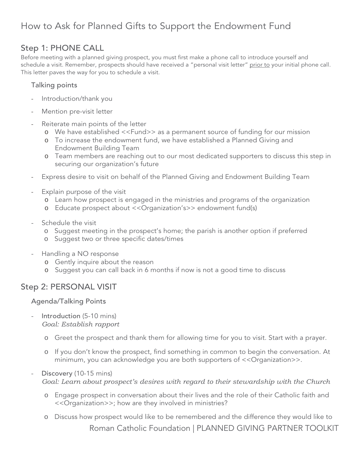# How to Ask for Planned Gifts to Support the Endowment Fund

## Step 1: PHONE CALL

Before meeting with a planned giving prospect, you must first make a phone call to introduce yourself and schedule a visit. Remember, prospects should have received a "personal visit letter" prior to your initial phone call. This letter paves the way for you to schedule a visit.

### Talking points

- Introduction/thank you
- Mention pre-visit letter
- Reiterate main points of the letter
	- o We have established <<Fund>> as a permanent source of funding for our mission
	- o To increase the endowment fund, we have established a Planned Giving and Endowment Building Team
	- o Team members are reaching out to our most dedicated supporters to discuss this step in securing our organization's future
- Express desire to visit on behalf of the Planned Giving and Endowment Building Team
- Explain purpose of the visit
	- o Learn how prospect is engaged in the ministries and programs of the organization
	- o Educate prospect about <<Organization's>> endowment fund(s)
- Schedule the visit
	- o Suggest meeting in the prospect's home; the parish is another option if preferred
	- o Suggest two or three specific dates/times
- Handling a NO response
	- o Gently inquire about the reason
	- o Suggest you can call back in 6 months if now is not a good time to discuss

### Step 2: PERSONAL VISIT

#### Agenda/Talking Points

- Introduction (5-10 mins) *Goal: Establish rapport*
	- o Greet the prospect and thank them for allowing time for you to visit. Start with a prayer.
	- o If you don't know the prospect, find something in common to begin the conversation. At minimum, you can acknowledge you are both supporters of <<Organization>>.
- Discovery (10-15 mins) *Goal: Learn about prospect's desires with regard to their stewardship with the Church*
	- o Engage prospect in conversation about their lives and the role of their Catholic faith and <<Organization>>; how are they involved in ministries?
	- Roman Catholic Foundation | PLANNED GIVING PARTNER TOOLKIT o Discuss how prospect would like to be remembered and the difference they would like to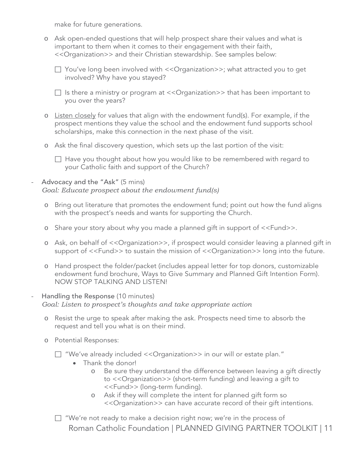make for future generations.

o Ask open-ended questions that will help prospect share their values and what is important to them when it comes to their engagement with their faith, <<Organization>> and their Christian stewardship. See samples below:

□ You've long been involved with <<Organization>>; what attracted you to get involved? Why have you stayed?

 $\Box$  Is there a ministry or program at << Organization >> that has been important to you over the years?

- o Listen closely for values that align with the endowment fund(s). For example, if the prospect mentions they value the school and the endowment fund supports school scholarships, make this connection in the next phase of the visit.
- o Ask the final discovery question, which sets up the last portion of the visit:
	- $\Box$  Have you thought about how you would like to be remembered with regard to your Catholic faith and support of the Church?

#### Advocacy and the "Ask" (5 mins) *Goal: Educate prospect about the endowment fund(s)*

- o Bring out literature that promotes the endowment fund; point out how the fund aligns with the prospect's needs and wants for supporting the Church.
- o Share your story about why you made a planned gift in support of <<Fund>>.
- o Ask, on behalf of <<Organization>>, if prospect would consider leaving a planned gift in support of <<Fund>> to sustain the mission of <<Organization>> long into the future.
- o Hand prospect the folder/packet (includes appeal letter for top donors, customizable endowment fund brochure, Ways to Give Summary and Planned Gift Intention Form). NOW STOP TALKING AND LISTEN!

#### Handling the Response (10 minutes) *Goal: Listen to prospect's thoughts and take appropriate action*

- o Resist the urge to speak after making the ask. Prospects need time to absorb the request and tell you what is on their mind.
- o Potential Responses:

"We've already included <<Organization>> in our will or estate plan."

- Thank the donor!
	- o Be sure they understand the difference between leaving a gift directly to <<Organization>> (short-term funding) and leaving a gift to <<Fund>> (long-term funding).
	- o Ask if they will complete the intent for planned gift form so <<Organization>> can have accurate record of their gift intentions.
- Roman Catholic Foundation | PLANNED GIVING PARTNER TOOLKIT | 11  $\Box$  "We're not ready to make a decision right now; we're in the process of